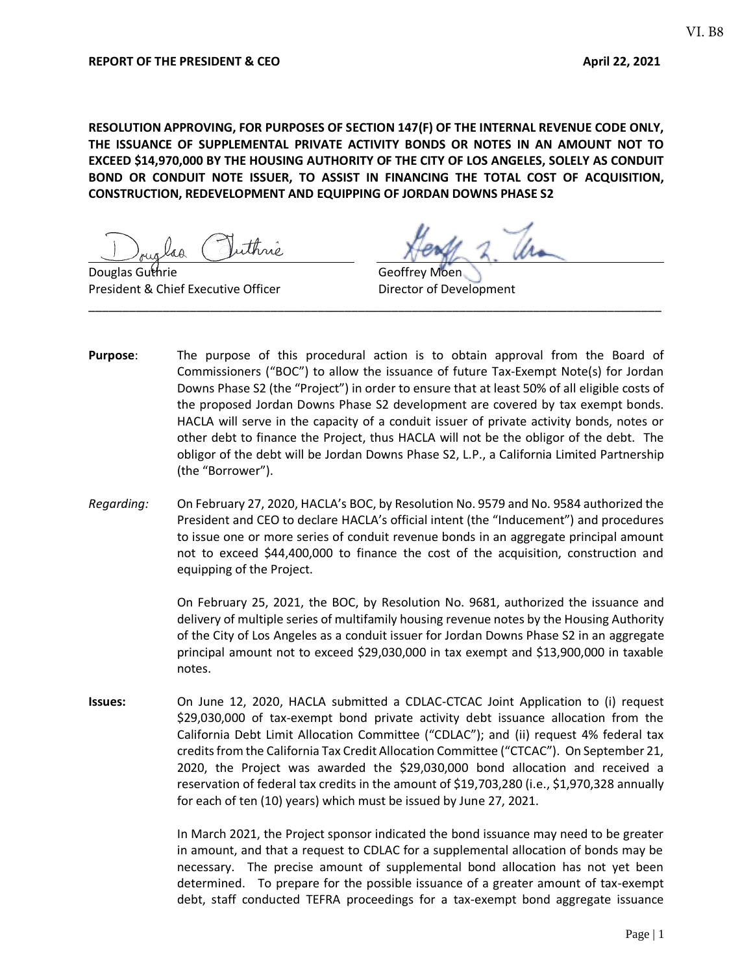**RESOLUTION APPROVING, FOR PURPOSES OF SECTION 147(F) OF THE INTERNAL REVENUE CODE ONLY, THE ISSUANCE OF SUPPLEMENTAL PRIVATE ACTIVITY BONDS OR NOTES IN AN AMOUNT NOT TO EXCEED \$14,970,000 BY THE HOUSING AUTHORITY OF THE CITY OF LOS ANGELES, SOLELY AS CONDUIT BOND OR CONDUIT NOTE ISSUER, TO ASSIST IN FINANCING THE TOTAL COST OF ACQUISITION, CONSTRUCTION, REDEVELOPMENT AND EQUIPPING OF JORDAN DOWNS PHASE S2**

Douglas Guthrie Geoffrey Moen President & Chief Executive Officer **Director of Development** 

**Purpose**: The purpose of this procedural action is to obtain approval from the Board of Commissioners ("BOC") to allow the issuance of future Tax-Exempt Note(s) for Jordan Downs Phase S2 (the "Project") in order to ensure that at least 50% of all eligible costs of the proposed Jordan Downs Phase S2 development are covered by tax exempt bonds. HACLA will serve in the capacity of a conduit issuer of private activity bonds, notes or other debt to finance the Project, thus HACLA will not be the obligor of the debt. The obligor of the debt will be Jordan Downs Phase S2, L.P., a California Limited Partnership (the "Borrower").

\_\_\_\_\_\_\_\_\_\_\_\_\_\_\_\_\_\_\_\_\_\_\_\_\_\_\_\_\_\_\_\_\_\_\_\_\_\_\_\_\_\_\_\_\_\_\_\_\_\_\_\_\_\_\_\_\_\_\_\_\_\_\_\_\_\_\_\_\_\_\_\_\_\_\_\_\_\_\_\_\_\_\_\_\_

*Regarding:* On February 27, 2020, HACLA's BOC, by Resolution No. 9579 and No. 9584 authorized the President and CEO to declare HACLA's official intent (the "Inducement") and procedures to issue one or more series of conduit revenue bonds in an aggregate principal amount not to exceed \$44,400,000 to finance the cost of the acquisition, construction and equipping of the Project.

> On February 25, 2021, the BOC, by Resolution No. 9681, authorized the issuance and delivery of multiple series of multifamily housing revenue notes by the Housing Authority of the City of Los Angeles as a conduit issuer for Jordan Downs Phase S2 in an aggregate principal amount not to exceed \$29,030,000 in tax exempt and \$13,900,000 in taxable notes.

**Issues:** On June 12, 2020, HACLA submitted a CDLAC-CTCAC Joint Application to (i) request \$29,030,000 of tax-exempt bond private activity debt issuance allocation from the California Debt Limit Allocation Committee ("CDLAC"); and (ii) request 4% federal tax credits from the California Tax Credit Allocation Committee ("CTCAC"). On September 21, 2020, the Project was awarded the \$29,030,000 bond allocation and received a reservation of federal tax credits in the amount of \$19,703,280 (i.e., \$1,970,328 annually for each of ten (10) years) which must be issued by June 27, 2021.

> In March 2021, the Project sponsor indicated the bond issuance may need to be greater in amount, and that a request to CDLAC for a supplemental allocation of bonds may be necessary. The precise amount of supplemental bond allocation has not yet been determined. To prepare for the possible issuance of a greater amount of tax-exempt debt, staff conducted TEFRA proceedings for a tax-exempt bond aggregate issuance

VI. B8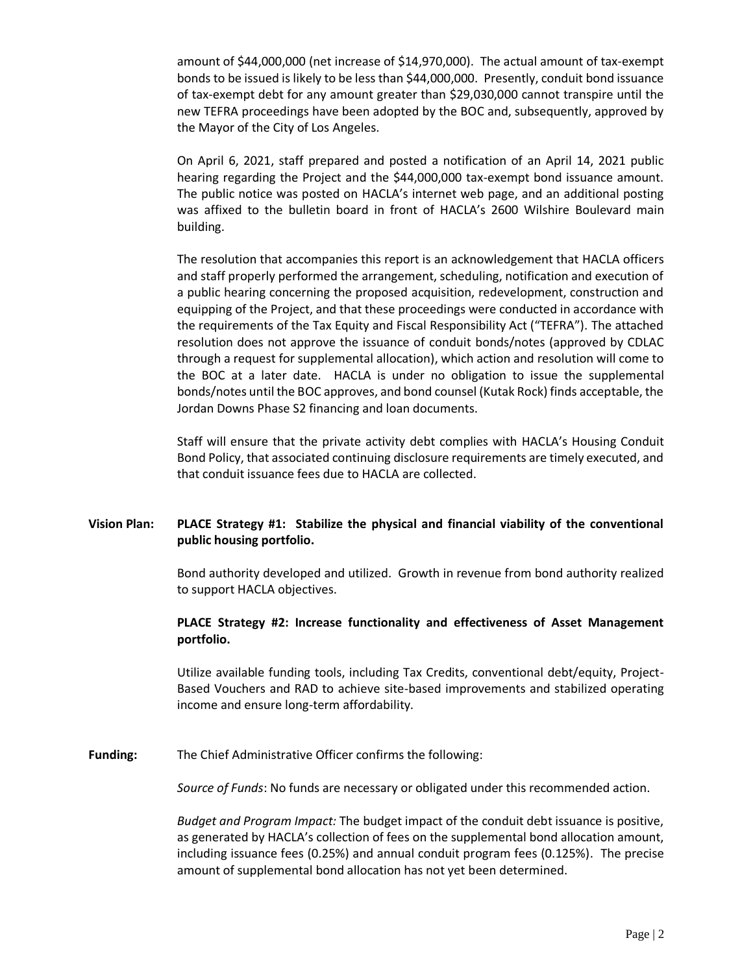amount of \$44,000,000 (net increase of \$14,970,000). The actual amount of tax-exempt bonds to be issued is likely to be less than \$44,000,000. Presently, conduit bond issuance of tax-exempt debt for any amount greater than \$29,030,000 cannot transpire until the new TEFRA proceedings have been adopted by the BOC and, subsequently, approved by the Mayor of the City of Los Angeles.

On April 6, 2021, staff prepared and posted a notification of an April 14, 2021 public hearing regarding the Project and the \$44,000,000 tax-exempt bond issuance amount. The public notice was posted on HACLA's internet web page, and an additional posting was affixed to the bulletin board in front of HACLA's 2600 Wilshire Boulevard main building.

The resolution that accompanies this report is an acknowledgement that HACLA officers and staff properly performed the arrangement, scheduling, notification and execution of a public hearing concerning the proposed acquisition, redevelopment, construction and equipping of the Project, and that these proceedings were conducted in accordance with the requirements of the Tax Equity and Fiscal Responsibility Act ("TEFRA"). The attached resolution does not approve the issuance of conduit bonds/notes (approved by CDLAC through a request for supplemental allocation), which action and resolution will come to the BOC at a later date. HACLA is under no obligation to issue the supplemental bonds/notes until the BOC approves, and bond counsel (Kutak Rock) finds acceptable, the Jordan Downs Phase S2 financing and loan documents.

Staff will ensure that the private activity debt complies with HACLA's Housing Conduit Bond Policy, that associated continuing disclosure requirements are timely executed, and that conduit issuance fees due to HACLA are collected.

## **Vision Plan: PLACE Strategy #1: Stabilize the physical and financial viability of the conventional public housing portfolio.**

Bond authority developed and utilized. Growth in revenue from bond authority realized to support HACLA objectives.

#### **PLACE Strategy #2: Increase functionality and effectiveness of Asset Management portfolio.**

Utilize available funding tools, including Tax Credits, conventional debt/equity, Project-Based Vouchers and RAD to achieve site-based improvements and stabilized operating income and ensure long-term affordability.

**Funding:** The Chief Administrative Officer confirms the following:

*Source of Funds*: No funds are necessary or obligated under this recommended action.

*Budget and Program Impact:* The budget impact of the conduit debt issuance is positive, as generated by HACLA's collection of fees on the supplemental bond allocation amount, including issuance fees (0.25%) and annual conduit program fees (0.125%). The precise amount of supplemental bond allocation has not yet been determined.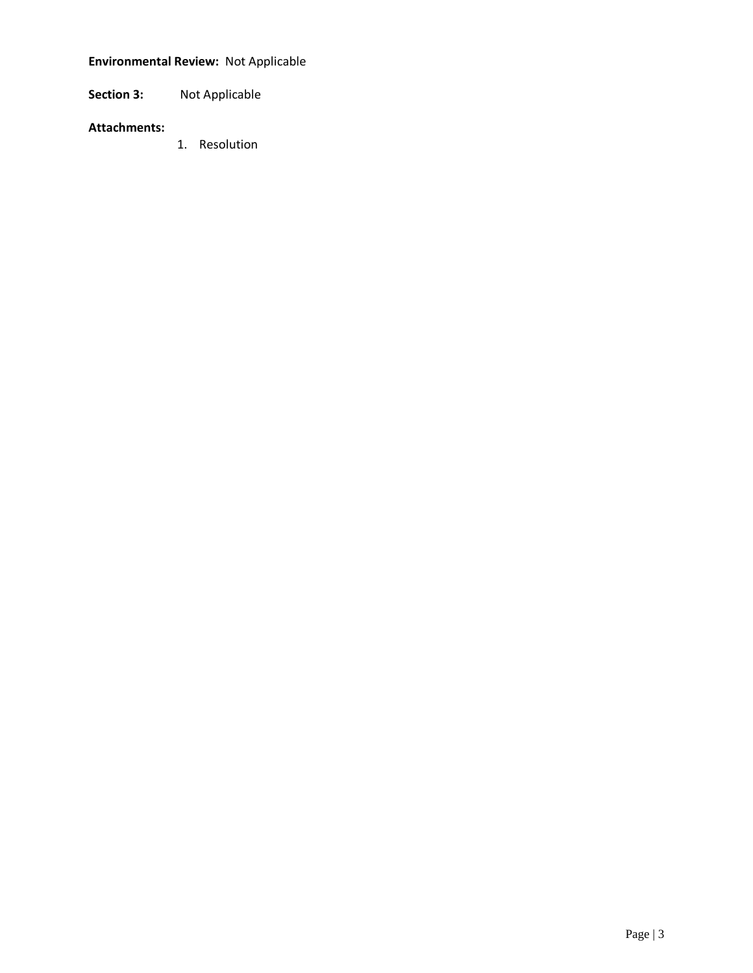# **Environmental Review:** Not Applicable

**Section 3:** Not Applicable

## **Attachments:**

1. Resolution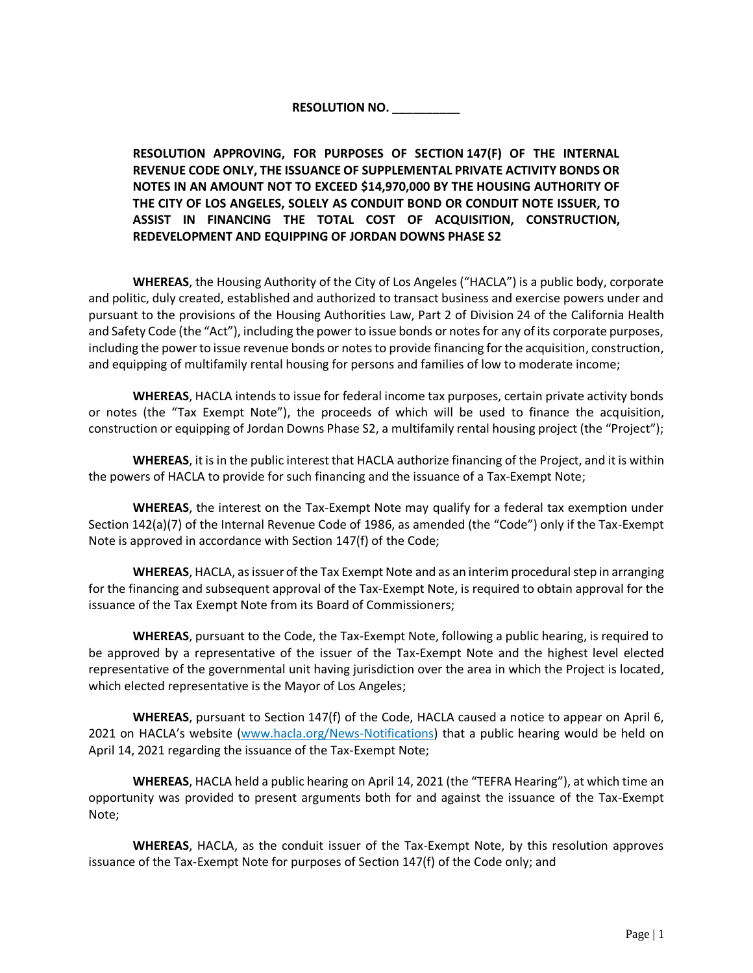# **RESOLUTION NO. \_\_\_\_\_\_\_\_\_\_**

**RESOLUTION APPROVING, FOR PURPOSES OF SECTION 147(F) OF THE INTERNAL REVENUE CODE ONLY, THE ISSUANCE OF SUPPLEMENTAL PRIVATE ACTIVITY BONDS OR NOTES IN AN AMOUNT NOT TO EXCEED \$14,970,000 BY THE HOUSING AUTHORITY OF THE CITY OF LOS ANGELES, SOLELY AS CONDUIT BOND OR CONDUIT NOTE ISSUER, TO ASSIST IN FINANCING THE TOTAL COST OF ACQUISITION, CONSTRUCTION, REDEVELOPMENT AND EQUIPPING OF JORDAN DOWNS PHASE S2**

**WHEREAS**, the Housing Authority of the City of Los Angeles ("HACLA") is a public body, corporate and politic, duly created, established and authorized to transact business and exercise powers under and pursuant to the provisions of the Housing Authorities Law, Part 2 of Division 24 of the California Health and Safety Code (the "Act"), including the power to issue bonds or notes for any of its corporate purposes, including the power to issue revenue bonds or notes to provide financing for the acquisition, construction, and equipping of multifamily rental housing for persons and families of low to moderate income;

**WHEREAS**, HACLA intends to issue for federal income tax purposes, certain private activity bonds or notes (the "Tax Exempt Note"), the proceeds of which will be used to finance the acquisition, construction or equipping of Jordan Downs Phase S2, a multifamily rental housing project (the "Project");

**WHEREAS**, it is in the public interest that HACLA authorize financing of the Project, and it is within the powers of HACLA to provide for such financing and the issuance of a Tax-Exempt Note;

**WHEREAS**, the interest on the Tax-Exempt Note may qualify for a federal tax exemption under Section 142(a)(7) of the Internal Revenue Code of 1986, as amended (the "Code") only if the Tax-Exempt Note is approved in accordance with Section 147(f) of the Code;

**WHEREAS**, HACLA, as issuer of the Tax Exempt Note and as an interim procedural step in arranging for the financing and subsequent approval of the Tax-Exempt Note, is required to obtain approval for the issuance of the Tax Exempt Note from its Board of Commissioners;

**WHEREAS**, pursuant to the Code, the Tax-Exempt Note, following a public hearing, is required to be approved by a representative of the issuer of the Tax-Exempt Note and the highest level elected representative of the governmental unit having jurisdiction over the area in which the Project is located, which elected representative is the Mayor of Los Angeles;

**WHEREAS**, pursuant to Section 147(f) of the Code, HACLA caused a notice to appear on April 6, 2021 on HACLA's website ([www.hacla.org/News-Notifications\)](http://www.hacla.org/News-Notifications) that a public hearing would be held on April 14, 2021 regarding the issuance of the Tax-Exempt Note;

**WHEREAS**, HACLA held a public hearing on April 14, 2021 (the "TEFRA Hearing"), at which time an opportunity was provided to present arguments both for and against the issuance of the Tax-Exempt Note;

**WHEREAS**, HACLA, as the conduit issuer of the Tax-Exempt Note, by this resolution approves issuance of the Tax-Exempt Note for purposes of Section 147(f) of the Code only; and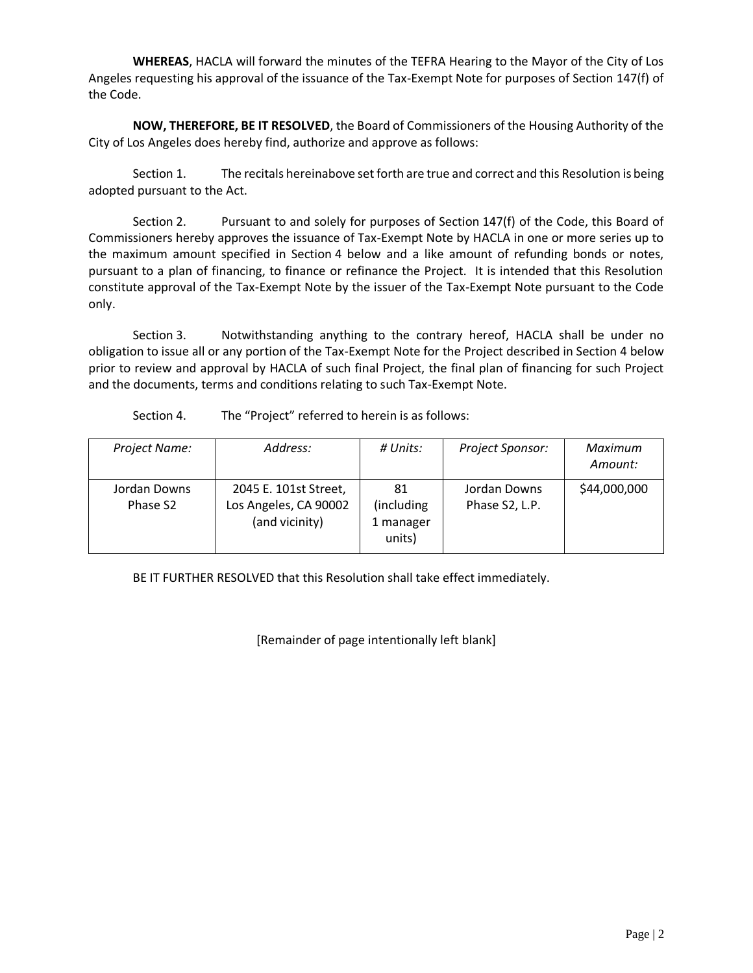**WHEREAS**, HACLA will forward the minutes of the TEFRA Hearing to the Mayor of the City of Los Angeles requesting his approval of the issuance of the Tax-Exempt Note for purposes of Section 147(f) of the Code.

**NOW, THEREFORE, BE IT RESOLVED**, the Board of Commissioners of the Housing Authority of the City of Los Angeles does hereby find, authorize and approve as follows:

Section 1. The recitals hereinabove set forth are true and correct and this Resolution is being adopted pursuant to the Act.

Section 2. Pursuant to and solely for purposes of Section 147(f) of the Code, this Board of Commissioners hereby approves the issuance of Tax-Exempt Note by HACLA in one or more series up to the maximum amount specified in Section 4 below and a like amount of refunding bonds or notes, pursuant to a plan of financing, to finance or refinance the Project. It is intended that this Resolution constitute approval of the Tax-Exempt Note by the issuer of the Tax-Exempt Note pursuant to the Code only.

Section 3. Notwithstanding anything to the contrary hereof, HACLA shall be under no obligation to issue all or any portion of the Tax-Exempt Note for the Project described in Section 4 below prior to review and approval by HACLA of such final Project, the final plan of financing for such Project and the documents, terms and conditions relating to such Tax-Exempt Note.

Section 4. The "Project" referred to herein is as follows:

| Project Name:            | Address:                                                         | # Units:                                 | Project Sponsor:               | Maximum<br>Amount: |
|--------------------------|------------------------------------------------------------------|------------------------------------------|--------------------------------|--------------------|
| Jordan Downs<br>Phase S2 | 2045 E. 101st Street,<br>Los Angeles, CA 90002<br>(and vicinity) | 81<br>(including)<br>1 manager<br>units) | Jordan Downs<br>Phase S2, L.P. | \$44,000,000       |

BE IT FURTHER RESOLVED that this Resolution shall take effect immediately.

[Remainder of page intentionally left blank]